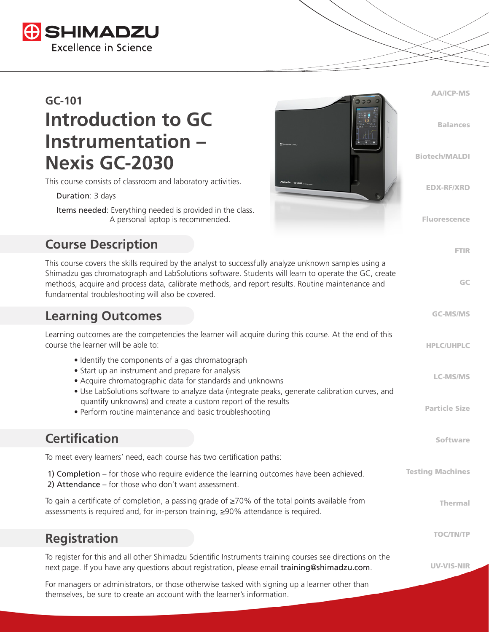

# **GC-101 Introduction to GC Instrumentation – Nexis GC-2030**

This course consists of classroom and laboratory activities.

Duration: 3 days

 Items needed: Everything needed is provided in the class. A personal laptop is recommended.

## **Course Description**

This course covers the skills required by the analyst to successfully analyze unknown samples using a Shimadzu gas chromatograph and LabSolutions software. Students will learn to operate the GC, create methods, acquire and process data, calibrate methods, and report results. Routine maintenance and fundamental troubleshooting will also be covered.

AA/ICP-MS

Balances

Biotech/MALDI

EDX-RF/XRD

Fluorescence

FTIR

GC

GC-MS/MS

#### **Learning Outcomes**

| Learning outcomes are the competencies the learner will acquire during this course. At the end of this<br>course the learner will be able to:                                                                                                                        | <b>HPLC/UHPLC</b>       |
|----------------------------------------------------------------------------------------------------------------------------------------------------------------------------------------------------------------------------------------------------------------------|-------------------------|
| • Identify the components of a gas chromatograph<br>• Start up an instrument and prepare for analysis<br>• Acquire chromatographic data for standards and unknowns<br>• Use LabSolutions software to analyze data (integrate peaks, generate calibration curves, and | <b>LC-MS/MS</b>         |
| quantify unknowns) and create a custom report of the results<br>• Perform routine maintenance and basic troubleshooting                                                                                                                                              | <b>Particle Size</b>    |
| <b>Certification</b>                                                                                                                                                                                                                                                 | Software                |
| To meet every learners' need, each course has two certification paths:                                                                                                                                                                                               |                         |
| 1) Completion – for those who require evidence the learning outcomes have been achieved.<br>2) Attendance $-$ for those who don't want assessment.                                                                                                                   | <b>Testing Machines</b> |
| To gain a certificate of completion, a passing grade of $\geq$ 70% of the total points available from<br>assessments is required and, for in-person training, ≥90% attendance is required.                                                                           | <b>Thermal</b>          |
| <b>Registration</b>                                                                                                                                                                                                                                                  | <b>TOC/TN/TP</b>        |
| To register for this and all other Shimadzu Scientific Instruments training courses see directions on the<br>next page. If you have any questions about registration, please email training@shimadzu.com.                                                            | <b>UV-VIS-NIR</b>       |

For managers or administrators, or those otherwise tasked with signing up a learner other than themselves, be sure to create an account with the learner's information.